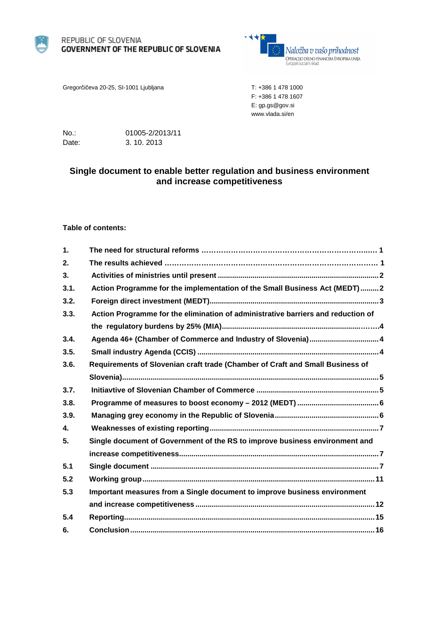

#### REPUBLIC OF SLOVENIA **GOVERNMENT OF THE REPUBLIC OF SLOVENIA**



Gregorčičeva 20-25, SI-1001 Ljubljana T: +386 1 478 1000

F: +386 1 478 1607 E: gp.gs@gov.si www.vlada.si/en

No.: 01005-2/2013/11 Date: 3. 10. 2013

# **Single document to enable better regulation and business environment and increase competitiveness**

#### **Table of contents:**

| $\mathbf 1$ .  |                                                                                  |
|----------------|----------------------------------------------------------------------------------|
| 2.             |                                                                                  |
| 3 <sub>1</sub> |                                                                                  |
| 3.1.           | Action Programme for the implementation of the Small Business Act (MEDT)2        |
| 3.2.           |                                                                                  |
| 3.3.           | Action Programme for the elimination of administrative barriers and reduction of |
|                |                                                                                  |
| 3.4.           | Agenda 46+ (Chamber of Commerce and Industry of Slovenia) 4                      |
| 3.5.           |                                                                                  |
| 3.6.           | Requirements of Slovenian craft trade (Chamber of Craft and Small Business of    |
|                |                                                                                  |
| 3.7.           |                                                                                  |
| 3.8.           |                                                                                  |
| 3.9.           |                                                                                  |
| $\mathbf{4}$   |                                                                                  |
| 5.             | Single document of Government of the RS to improve business environment and      |
|                |                                                                                  |
| 5.1            |                                                                                  |
| 5.2            |                                                                                  |
| 5.3            | Important measures from a Single document to improve business environment        |
|                |                                                                                  |
| 5.4            |                                                                                  |
| 6.             |                                                                                  |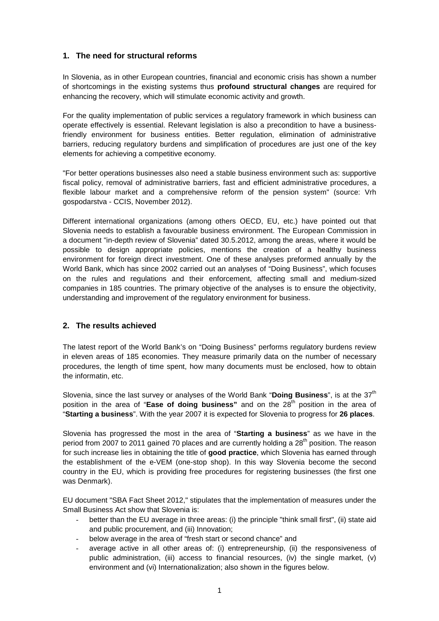# **1. The need for structural reforms**

In Slovenia, as in other European countries, financial and economic crisis has shown a number of shortcomings in the existing systems thus **profound structural changes** are required for enhancing the recovery, which will stimulate economic activity and growth.

For the quality implementation of public services a regulatory framework in which business can operate effectively is essential. Relevant legislation is also a precondition to have a businessfriendly environment for business entities. Better regulation, elimination of administrative barriers, reducing regulatory burdens and simplification of procedures are just one of the key elements for achieving a competitive economy.

"For better operations businesses also need a stable business environment such as: supportive fiscal policy, removal of administrative barriers, fast and efficient administrative procedures, a flexible labour market and a comprehensive reform of the pension system" (source: Vrh gospodarstva - CCIS, November 2012).

Different international organizations (among others OECD, EU, etc.) have pointed out that Slovenia needs to establish a favourable business environment. The European Commission in a document "in-depth review of Slovenia" dated 30.5.2012, among the areas, where it would be possible to design appropriate policies, mentions the creation of a healthy business environment for foreign direct investment. One of these analyses preformed annually by the World Bank, which has since 2002 carried out an analyses of "Doing Business", which focuses on the rules and regulations and their enforcement, affecting small and medium-sized companies in 185 countries. The primary objective of the analyses is to ensure the objectivity, understanding and improvement of the regulatory environment for business.

# **2. The results achieved**

The latest report of the World Bank's on "Doing Business" performs regulatory burdens review in eleven areas of 185 economies. They measure primarily data on the number of necessary procedures, the length of time spent, how many documents must be enclosed, how to obtain the informatin, etc.

Slovenia, since the last survey or analyses of the World Bank "**Doing Business**", is at the 37th position in the area of "**Ease of doing business**" and on the 28<sup>th</sup> position in the area of "**Starting a business**". With the year 2007 it is expected for Slovenia to progress for **26 places**.

Slovenia has progressed the most in the area of "**Starting a business**" as we have in the period from 2007 to 2011 gained 70 places and are currently holding a 28<sup>th</sup> position. The reason for such increase lies in obtaining the title of **good practice**, which Slovenia has earned through the establishment of the e-VEM (one-stop shop). In this way Slovenia become the second country in the EU, which is providing free procedures for registering businesses (the first one was Denmark).

EU document "SBA Fact Sheet 2012," stipulates that the implementation of measures under the Small Business Act show that Slovenia is:

- better than the EU average in three areas: (i) the principle "think small first", (ii) state aid and public procurement, and (iii) Innovation;
- below average in the area of "fresh start or second chance" and
- average active in all other areas of: (i) entrepreneurship, (ii) the responsiveness of public administration, (iii) access to financial resources, (iv) the single market, (v) environment and (vi) Internationalization; also shown in the figures below.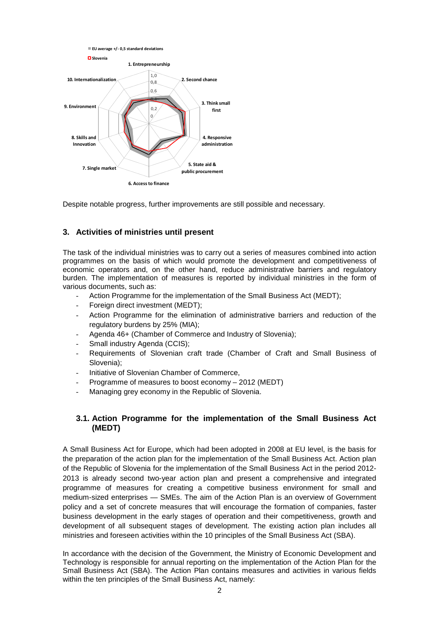

Despite notable progress, further improvements are still possible and necessary.

# **3. Activities of ministries until present**

The task of the individual ministries was to carry out a series of measures combined into action programmes on the basis of which would promote the development and competitiveness of economic operators and, on the other hand, reduce administrative barriers and regulatory burden. The implementation of measures is reported by individual ministries in the form of various documents, such as:

- Action Programme for the implementation of the Small Business Act (MEDT);
- Foreign direct investment (MEDT);
- Action Programme for the elimination of administrative barriers and reduction of the regulatory burdens by 25% (MIA);
- Agenda 46+ (Chamber of Commerce and Industry of Slovenia);
- Small industry Agenda (CCIS);
- Requirements of Slovenian craft trade (Chamber of Craft and Small Business of Slovenia);
- Initiative of Slovenian Chamber of Commerce,
- Programme of measures to boost economy 2012 (MEDT)
- Managing grey economy in the Republic of Slovenia.

## **3.1. Action Programme for the implementation of the Small Business Act (MEDT)**

A Small Business Act for Europe, which had been adopted in 2008 at EU level, is the basis for the preparation of the action plan for the implementation of the Small Business Act. Action plan of the Republic of Slovenia for the implementation of the Small Business Act in the period 2012- 2013 is already second two-year action plan and present a comprehensive and integrated programme of measures for creating a competitive business environment for small and medium-sized enterprises — SMEs. The aim of the Action Plan is an overview of Government policy and a set of concrete measures that will encourage the formation of companies, faster business development in the early stages of operation and their competitiveness, growth and development of all subsequent stages of development. The existing action plan includes all ministries and foreseen activities within the 10 principles of the Small Business Act (SBA).

In accordance with the decision of the Government, the Ministry of Economic Development and Technology is responsible for annual reporting on the implementation of the Action Plan for the Small Business Act (SBA). The Action Plan contains measures and activities in various fields within the ten principles of the Small Business Act, namely: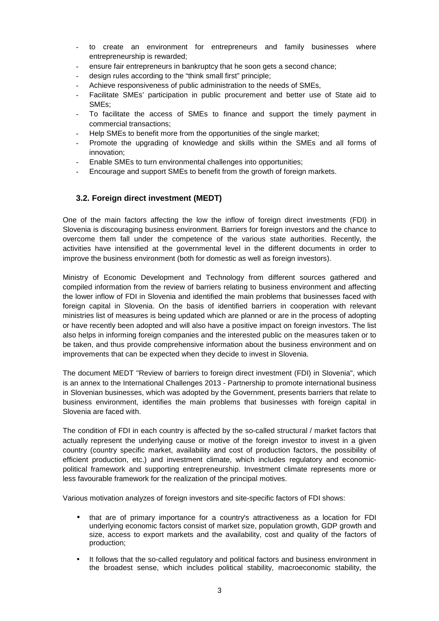- to create an environment for entrepreneurs and family businesses where entrepreneurship is rewarded;
- ensure fair entrepreneurs in bankruptcy that he soon gets a second chance:
- design rules according to the "think small first" principle;
- Achieve responsiveness of public administration to the needs of SMEs,
- Facilitate SMEs' participation in public procurement and better use of State aid to SMEs;
- To facilitate the access of SMEs to finance and support the timely payment in commercial transactions;
- Help SMEs to benefit more from the opportunities of the single market;
- Promote the upgrading of knowledge and skills within the SMEs and all forms of innovation;
- Enable SMEs to turn environmental challenges into opportunities;
- Encourage and support SMEs to benefit from the growth of foreign markets.

## **3.2. Foreign direct investment (MEDT)**

One of the main factors affecting the low the inflow of foreign direct investments (FDI) in Slovenia is discouraging business environment. Barriers for foreign investors and the chance to overcome them fall under the competence of the various state authorities. Recently, the activities have intensified at the governmental level in the different documents in order to improve the business environment (both for domestic as well as foreign investors).

Ministry of Economic Development and Technology from different sources gathered and compiled information from the review of barriers relating to business environment and affecting the lower inflow of FDI in Slovenia and identified the main problems that businesses faced with foreign capital in Slovenia. On the basis of identified barriers in cooperation with relevant ministries list of measures is being updated which are planned or are in the process of adopting or have recently been adopted and will also have a positive impact on foreign investors. The list also helps in informing foreign companies and the interested public on the measures taken or to be taken, and thus provide comprehensive information about the business environment and on improvements that can be expected when they decide to invest in Slovenia.

The document MEDT "Review of barriers to foreign direct investment (FDI) in Slovenia", which is an annex to the International Challenges 2013 - Partnership to promote international business in Slovenian businesses, which was adopted by the Government, presents barriers that relate to business environment, identifies the main problems that businesses with foreign capital in Slovenia are faced with.

The condition of FDI in each country is affected by the so-called structural / market factors that actually represent the underlying cause or motive of the foreign investor to invest in a given country (country specific market, availability and cost of production factors, the possibility of efficient production, etc.) and investment climate, which includes regulatory and economicpolitical framework and supporting entrepreneurship. Investment climate represents more or less favourable framework for the realization of the principal motives.

Various motivation analyzes of foreign investors and site-specific factors of FDI shows:

- that are of primary importance for a country's attractiveness as a location for FDI underlying economic factors consist of market size, population growth, GDP growth and size, access to export markets and the availability, cost and quality of the factors of production;
- It follows that the so-called regulatory and political factors and business environment in the broadest sense, which includes political stability, macroeconomic stability, the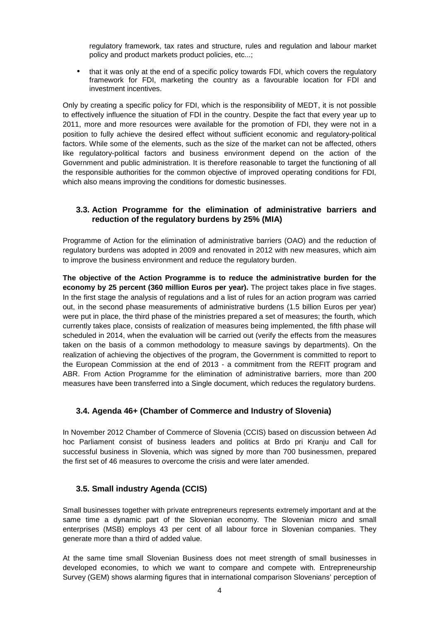regulatory framework, tax rates and structure, rules and regulation and labour market policy and product markets product policies, etc...;

• that it was only at the end of a specific policy towards FDI, which covers the regulatory framework for FDI, marketing the country as a favourable location for FDI and investment incentives.

Only by creating a specific policy for FDI, which is the responsibility of MEDT, it is not possible to effectively influence the situation of FDI in the country. Despite the fact that every year up to 2011, more and more resources were available for the promotion of FDI, they were not in a position to fully achieve the desired effect without sufficient economic and regulatory-political factors. While some of the elements, such as the size of the market can not be affected, others like regulatory-political factors and business environment depend on the action of the Government and public administration. It is therefore reasonable to target the functioning of all the responsible authorities for the common objective of improved operating conditions for FDI, which also means improving the conditions for domestic businesses.

# **3.3. Action Programme for the elimination of administrative barriers and reduction of the regulatory burdens by 25% (MIA)**

Programme of Action for the elimination of administrative barriers (OAO) and the reduction of regulatory burdens was adopted in 2009 and renovated in 2012 with new measures, which aim to improve the business environment and reduce the regulatory burden.

**The objective of the Action Programme is to reduce the administrative burden for the economy by 25 percent (360 million Euros per year).** The project takes place in five stages. In the first stage the analysis of regulations and a list of rules for an action program was carried out, in the second phase measurements of administrative burdens (1.5 billion Euros per year) were put in place, the third phase of the ministries prepared a set of measures; the fourth, which currently takes place, consists of realization of measures being implemented, the fifth phase will scheduled in 2014, when the evaluation will be carried out (verify the effects from the measures taken on the basis of a common methodology to measure savings by departments). On the realization of achieving the objectives of the program, the Government is committed to report to the European Commission at the end of 2013 - a commitment from the REFIT program and ABR. From Action Programme for the elimination of administrative barriers, more than 200 measures have been transferred into a Single document, which reduces the regulatory burdens.

# **3.4. Agenda 46+ (Chamber of Commerce and Industry of Slovenia)**

In November 2012 Chamber of Commerce of Slovenia (CCIS) based on discussion between Ad hoc Parliament consist of business leaders and politics at Brdo pri Kranju and Call for successful business in Slovenia, which was signed by more than 700 businessmen, prepared the first set of 46 measures to overcome the crisis and were later amended.

# **3.5. Small industry Agenda (CCIS)**

Small businesses together with private entrepreneurs represents extremely important and at the same time a dynamic part of the Slovenian economy. The Slovenian micro and small enterprises (MSB) employs 43 per cent of all labour force in Slovenian companies. They generate more than a third of added value.

At the same time small Slovenian Business does not meet strength of small businesses in developed economies, to which we want to compare and compete with. Entrepreneurship Survey (GEM) shows alarming figures that in international comparison Slovenians' perception of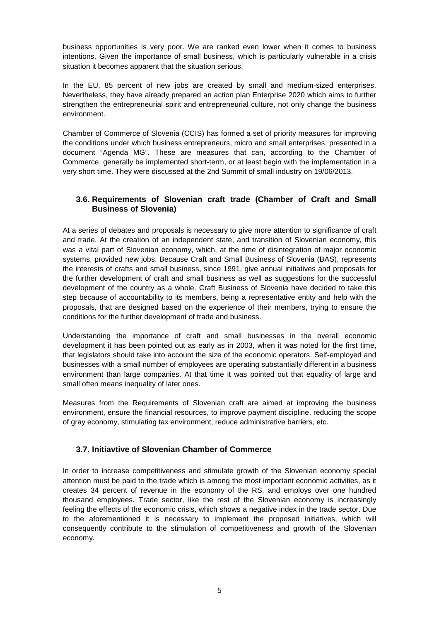business opportunities is very poor. We are ranked even lower when it comes to business intentions. Given the importance of small business, which is particularly vulnerable in a crisis situation it becomes apparent that the situation serious.

In the EU, 85 percent of new jobs are created by small and medium-sized enterprises. Nevertheless, they have already prepared an action plan Enterprise 2020 which aims to further strengthen the entrepreneurial spirit and entrepreneurial culture, not only change the business environment.

Chamber of Commerce of Slovenia (CCIS) has formed a set of priority measures for improving the conditions under which business entrepreneurs, micro and small enterprises, presented in a document "Agenda MG". These are measures that can, according to the Chamber of Commerce, generally be implemented short-term, or at least begin with the implementation in a very short time. They were discussed at the 2nd Summit of small industry on 19/06/2013.

# **3.6. Requirements of Slovenian craft trade (Chamber of Craft and Small Business of Slovenia)**

At a series of debates and proposals is necessary to give more attention to significance of craft and trade. At the creation of an independent state, and transition of Slovenian economy, this was a vital part of Slovenian economy, which, at the time of disintegration of major economic systems, provided new jobs. Because Craft and Small Business of Slovenia (BAS), represents the interests of crafts and small business, since 1991, give annual initiatives and proposals for the further development of craft and small business as well as suggestions for the successful development of the country as a whole. Craft Business of Slovenia have decided to take this step because of accountability to its members, being a representative entity and help with the proposals, that are designed based on the experience of their members, trying to ensure the conditions for the further development of trade and business.

Understanding the importance of craft and small businesses in the overall economic development it has been pointed out as early as in 2003, when it was noted for the first time, that legislators should take into account the size of the economic operators. Self-employed and businesses with a small number of employees are operating substantially different in a business environment than large companies. At that time it was pointed out that equality of large and small often means inequality of later ones.

Measures from the Requirements of Slovenian craft are aimed at improving the business environment, ensure the financial resources, to improve payment discipline, reducing the scope of gray economy, stimulating tax environment, reduce administrative barriers, etc.

# **3.7. Initiavtive of Slovenian Chamber of Commerce**

In order to increase competitiveness and stimulate growth of the Slovenian economy special attention must be paid to the trade which is among the most important economic activities, as it creates 34 percent of revenue in the economy of the RS, and employs over one hundred thousand employees. Trade sector, like the rest of the Slovenian economy is increasingly feeling the effects of the economic crisis, which shows a negative index in the trade sector. Due to the aforementioned it is necessary to implement the proposed initiatives, which will consequently contribute to the stimulation of competitiveness and growth of the Slovenian economy.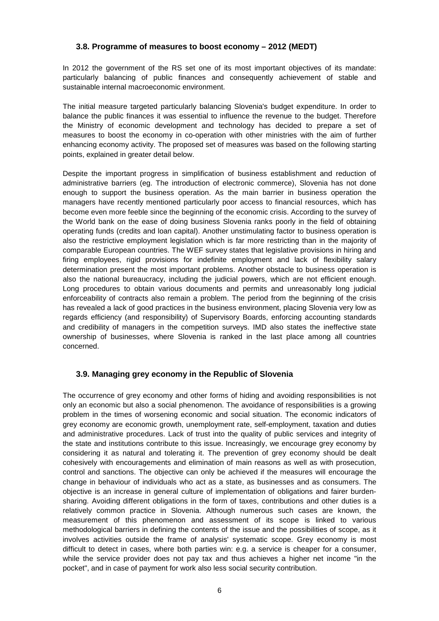# **3.8. Programme of measures to boost economy – 2012 (MEDT)**

In 2012 the government of the RS set one of its most important objectives of its mandate: particularly balancing of public finances and consequently achievement of stable and sustainable internal macroeconomic environment.

The initial measure targeted particularly balancing Slovenia's budget expenditure. In order to balance the public finances it was essential to influence the revenue to the budget. Therefore the Ministry of economic development and technology has decided to prepare a set of measures to boost the economy in co-operation with other ministries with the aim of further enhancing economy activity. The proposed set of measures was based on the following starting points, explained in greater detail below.

Despite the important progress in simplification of business establishment and reduction of administrative barriers (eg. The introduction of electronic commerce), Slovenia has not done enough to support the business operation. As the main barrier in business operation the managers have recently mentioned particularly poor access to financial resources, which has become even more feeble since the beginning of the economic crisis. According to the survey of the World bank on the ease of doing business Slovenia ranks poorly in the field of obtaining operating funds (credits and loan capital). Another unstimulating factor to business operation is also the restrictive employment legislation which is far more restricting than in the majority of comparable European countries. The WEF survey states that legislative provisions in hiring and firing employees, rigid provisions for indefinite employment and lack of flexibility salary determination present the most important problems. Another obstacle to business operation is also the national bureaucracy, including the judicial powers, which are not efficient enough. Long procedures to obtain various documents and permits and unreasonably long judicial enforceability of contracts also remain a problem. The period from the beginning of the crisis has revealed a lack of good practices in the business environment, placing Slovenia very low as regards efficiency (and responsibility) of Supervisory Boards, enforcing accounting standards and credibility of managers in the competition surveys. IMD also states the ineffective state ownership of businesses, where Slovenia is ranked in the last place among all countries concerned.

# **3.9. Managing grey economy in the Republic of Slovenia**

The occurrence of grey economy and other forms of hiding and avoiding responsibilities is not only an economic but also a social phenomenon. The avoidance of responsibilities is a growing problem in the times of worsening economic and social situation. The economic indicators of grey economy are economic growth, unemployment rate, self-employment, taxation and duties and administrative procedures. Lack of trust into the quality of public services and integrity of the state and institutions contribute to this issue. Increasingly, we encourage grey economy by considering it as natural and tolerating it. The prevention of grey economy should be dealt cohesively with encouragements and elimination of main reasons as well as with prosecution, control and sanctions. The objective can only be achieved if the measures will encourage the change in behaviour of individuals who act as a state, as businesses and as consumers. The objective is an increase in general culture of implementation of obligations and fairer burdensharing. Avoiding different obligations in the form of taxes, contributions and other duties is a relatively common practice in Slovenia. Although numerous such cases are known, the measurement of this phenomenon and assessment of its scope is linked to various methodological barriers in defining the contents of the issue and the possibilities of scope, as it involves activities outside the frame of analysis' systematic scope. Grey economy is most difficult to detect in cases, where both parties win: e.g. a service is cheaper for a consumer, while the service provider does not pay tax and thus achieves a higher net income "in the pocket", and in case of payment for work also less social security contribution.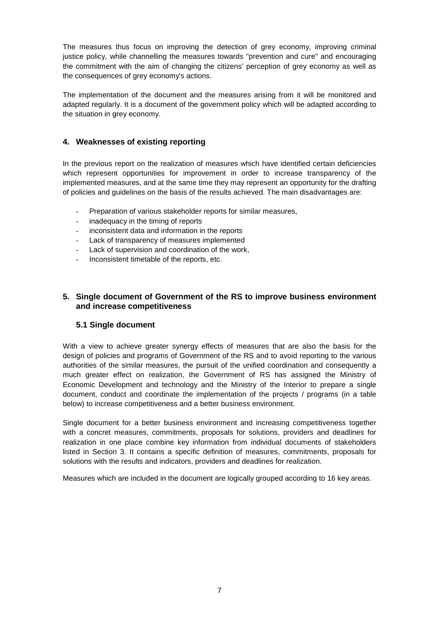The measures thus focus on improving the detection of grey economy, improving criminal justice policy, while channelling the measures towards "prevention and cure" and encouraging the commitment with the aim of changing the citizens' perception of grey economy as well as the consequences of grey economy's actions.

The implementation of the document and the measures arising from it will be monitored and adapted regularly. It is a document of the government policy which will be adapted according to the situation in grey economy.

# **4. Weaknesses of existing reporting**

In the previous report on the realization of measures which have identified certain deficiencies which represent opportunities for improvement in order to increase transparency of the implemented measures, and at the same time they may represent an opportunity for the drafting of policies and guidelines on the basis of the results achieved. The main disadvantages are:

- Preparation of various stakeholder reports for similar measures,
- inadequacy in the timing of reports
- inconsistent data and information in the reports
- Lack of transparency of measures implemented
- Lack of supervision and coordination of the work,
- Inconsistent timetable of the reports, etc.

# **5. Single document of Government of the RS to improve business environment and increase competitiveness**

# **5.1 Single document**

With a view to achieve greater synergy effects of measures that are also the basis for the design of policies and programs of Government of the RS and to avoid reporting to the various authorities of the similar measures, the pursuit of the unified coordination and consequently a much greater effect on realization, the Government of RS has assigned the Ministry of Economic Development and technology and the Ministry of the Interior to prepare a single document, conduct and coordinate the implementation of the projects / programs (in a table below) to increase competitiveness and a better business environment.

Single document for a better business environment and increasing competitiveness together with a concret measures, commitments, proposals for solutions, providers and deadlines for realization in one place combine key information from individual documents of stakeholders listed in Section 3. It contains a specific definition of measures, commitments, proposals for solutions with the results and indicators, providers and deadlines for realization.

Measures which are included in the document are logically grouped according to 16 key areas.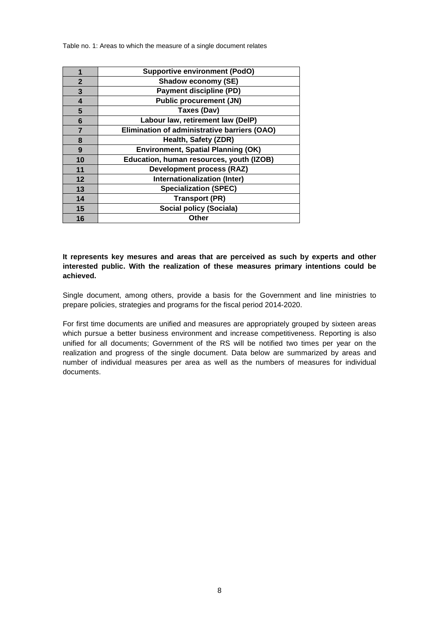Table no. 1: Areas to which the measure of a single document relates

|                | <b>Supportive environment (PodO)</b>         |
|----------------|----------------------------------------------|
| $\mathbf{2}$   | Shadow economy (SE)                          |
| 3              | <b>Payment discipline (PD)</b>               |
| 4              | <b>Public procurement (JN)</b>               |
| 5              | Taxes (Dav)                                  |
| 6              | Labour law, retirement law (DelP)            |
| $\overline{7}$ | Elimination of administrative barriers (OAO) |
| 8              | Health, Safety (ZDR)                         |
| 9              | <b>Environment, Spatial Planning (OK)</b>    |
| 10             | Education, human resources, youth (IZOB)     |
| 11             | <b>Development process (RAZ)</b>             |
| 12             | Internationalization (Inter)                 |
| 13             | <b>Specialization (SPEC)</b>                 |
| 14             | <b>Transport (PR)</b>                        |
| 15             | Social policy (Sociala)                      |
| 16             | Other                                        |

**It represents key mesures and areas that are perceived as such by experts and other interested public. With the realization of these measures primary intentions could be achieved.** 

Single document, among others, provide a basis for the Government and line ministries to prepare policies, strategies and programs for the fiscal period 2014-2020.

For first time documents are unified and measures are appropriately grouped by sixteen areas which pursue a better business environment and increase competitiveness. Reporting is also unified for all documents; Government of the RS will be notified two times per year on the realization and progress of the single document. Data below are summarized by areas and number of individual measures per area as well as the numbers of measures for individual documents.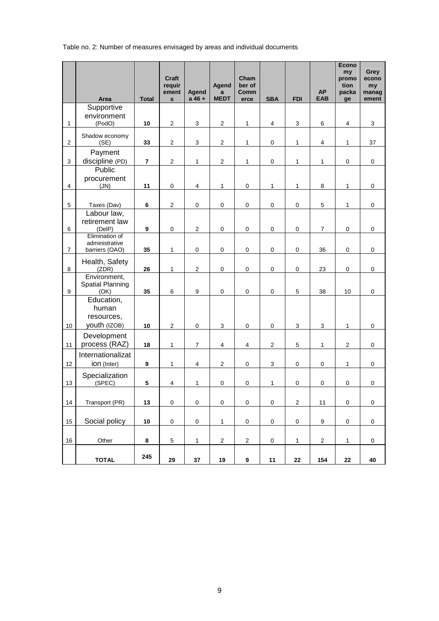Table no. 2: Number of measures envisaged by areas and individual documents

|                  | Area                                              | <b>Total</b>            | Craft<br>requir<br>ement<br>$\mathbf{s}$ | Agend<br>$a 46 +$         | Agend<br>a<br><b>MEDT</b> | Cham<br>ber of<br>Comm<br>erce | <b>SBA</b>     | <b>FDI</b>                | <b>AP</b><br><b>EAB</b> | <b>Econo</b><br>my<br>promo<br>tion<br>packa<br>ge | Grey<br>econo<br>my<br>manag<br>ement |
|------------------|---------------------------------------------------|-------------------------|------------------------------------------|---------------------------|---------------------------|--------------------------------|----------------|---------------------------|-------------------------|----------------------------------------------------|---------------------------------------|
|                  | Supportive                                        |                         |                                          |                           |                           |                                |                |                           |                         |                                                    |                                       |
| $\mathbf{1}$     | environment<br>(PodO)                             | 10                      | $\sqrt{2}$                               | $\sqrt{3}$                | $\mathbf 2$               | $\mathbf{1}$                   | $\overline{4}$ | $\ensuremath{\mathsf{3}}$ | $\,6\,$                 | $\overline{\mathbf{4}}$                            | $\ensuremath{\mathsf{3}}$             |
| $\mathbf{2}$     | Shadow economy<br>(SE)                            | 33                      | $\sqrt{2}$                               | $\ensuremath{\mathsf{3}}$ | $\mathbf 2$               | $\mathbf{1}$                   | $\pmb{0}$      | 1                         | $\overline{\mathbf{4}}$ | $\mathbf{1}$                                       | 37                                    |
| $\mathsf 3$      | Payment<br>discipline (PD)                        | $\overline{\mathbf{r}}$ | $\sqrt{2}$                               | $\mathbf{1}$              | $\boldsymbol{2}$          | $\mathbf{1}$                   | $\pmb{0}$      | 1                         | 1                       | $\pmb{0}$                                          | 0                                     |
| $\overline{4}$   | Public<br>procurement<br>(JN)                     | 11                      | $\mathbf 0$                              | $\overline{4}$            | $\mathbf{1}$              | $\pmb{0}$                      | $\mathbf{1}$   | 1                         | $\bf8$                  | $\mathbf{1}$                                       | 0                                     |
|                  |                                                   |                         |                                          |                           |                           |                                |                |                           |                         |                                                    |                                       |
| $\mathbf 5$      | Taxes (Dav)<br>Labour law,                        | 6                       | $\overline{2}$                           | $\mathbf 0$               | $\pmb{0}$                 | $\pmb{0}$                      | $\pmb{0}$      | $\pmb{0}$                 | 5                       | 1                                                  | 0                                     |
| 6                | retirement law<br>(DelP)                          | $\boldsymbol{9}$        | $\mathbf 0$                              | $\sqrt{2}$                | $\mathbf 0$               | $\pmb{0}$                      | $\pmb{0}$      | $\pmb{0}$                 | $\boldsymbol{7}$        | $\pmb{0}$                                          | 0                                     |
|                  | Elimination of<br>administrative                  |                         |                                          |                           |                           |                                |                |                           |                         |                                                    |                                       |
| $\overline{7}$   | barriers (OAO)                                    | 35                      | $\mathbf{1}$                             | $\pmb{0}$                 | $\pmb{0}$                 | $\pmb{0}$                      | $\pmb{0}$      | $\pmb{0}$                 | 36                      | 0                                                  | $\mathbf 0$                           |
| 8                | Health, Safety<br>(ZDR)                           | 26                      | $\mathbf{1}$                             | $\overline{2}$            | $\pmb{0}$                 | $\pmb{0}$                      | $\pmb{0}$      | $\pmb{0}$                 | 23                      | $\pmb{0}$                                          | 0                                     |
| $\boldsymbol{9}$ | Environment,<br>Spatial Planning<br>(OK)          | 35                      | $\,6\,$                                  | $\boldsymbol{9}$          | $\pmb{0}$                 | $\pmb{0}$                      | $\pmb{0}$      | 5                         | 38                      | 10                                                 | $\pmb{0}$                             |
| 10               | Education,<br>human<br>resources,<br>youth (IZOB) | 10                      | $\sqrt{2}$                               | $\mathbf 0$               | 3                         | $\pmb{0}$                      | $\pmb{0}$      | $\ensuremath{\mathsf{3}}$ | 3                       | $\mathbf{1}$                                       | 0                                     |
|                  | Development<br>process (RAZ)                      |                         |                                          |                           |                           |                                |                |                           |                         |                                                    |                                       |
| 11               | Internationalizat                                 | 18                      | $\mathbf{1}$                             | $\overline{7}$            | 4                         | $\overline{\mathbf{4}}$        | $\sqrt{2}$     | $\mathbf 5$               | $\mathbf{1}$            | $\mathbf{2}$                                       | 0                                     |
| 12               | ion (Inter)                                       | $\boldsymbol{9}$        | 1                                        | $\overline{4}$            | $\overline{c}$            | $\mathbf 0$                    | 3              | $\pmb{0}$                 | $\pmb{0}$               | 1                                                  | 0                                     |
| 13               | Specialization<br>(SPEC)                          | 5                       | $\overline{4}$                           | $\mathbf{1}$              | $\pmb{0}$                 | $\pmb{0}$                      | 1              | $\pmb{0}$                 | $\pmb{0}$               | $\pmb{0}$                                          | $\pmb{0}$                             |
|                  |                                                   |                         |                                          |                           |                           |                                |                |                           |                         |                                                    |                                       |
| 14               | Transport (PR)                                    | 13                      | $\mathbf 0$                              | $\mathbf 0$               | $\mathsf{O}\xspace$       | $\mathbf 0$                    | $\pmb{0}$      | $\mathbf 2$               | 11                      | $\pmb{0}$                                          | 0                                     |
| 15               | Social policy                                     | 10                      | $\pmb{0}$                                | $\mathbf 0$               | $\mathbf 1$               | $\mathbf 0$                    | $\pmb{0}$      | $\pmb{0}$                 | $\boldsymbol{9}$        | $\mathbf 0$                                        | $\pmb{0}$                             |
| 16               | Other                                             | 8                       | $\,$ 5 $\,$                              | $\mathbf{1}$              | $\overline{c}$            | $\overline{c}$                 | $\pmb{0}$      | 1                         | $\overline{2}$          | $\mathbf{1}$                                       | $\pmb{0}$                             |
|                  | <b>TOTAL</b>                                      | 245                     | 29                                       | 37                        | 19                        | $\boldsymbol{9}$               | 11             | 22                        | 154                     | ${\bf 22}$                                         | 40                                    |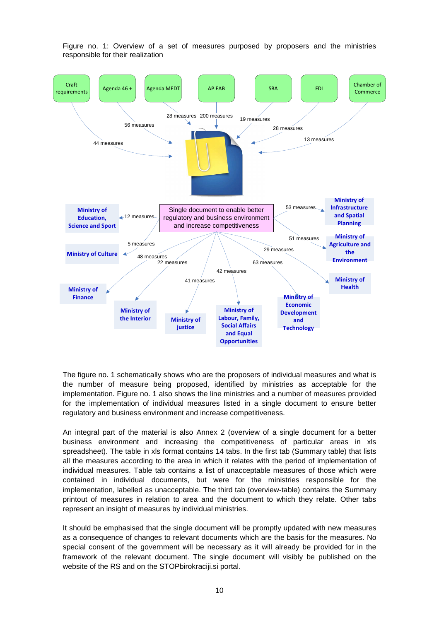

Figure no. 1: Overview of a set of measures purposed by proposers and the ministries responsible for their realization

The figure no. 1 schematically shows who are the proposers of individual measures and what is the number of measure being proposed, identified by ministries as acceptable for the implementation. Figure no. 1 also shows the line ministries and a number of measures provided for the implementation of individual measures listed in a single document to ensure better regulatory and business environment and increase competitiveness.

An integral part of the material is also Annex 2 (overview of a single document for a better business environment and increasing the competitiveness of particular areas in xls spreadsheet). The table in xls format contains 14 tabs. In the first tab (Summary table) that lists all the measures according to the area in which it relates with the period of implementation of individual measures. Table tab contains a list of unacceptable measures of those which were contained in individual documents, but were for the ministries responsible for the implementation, labelled as unacceptable. The third tab (overview-table) contains the Summary printout of measures in relation to area and the document to which they relate. Other tabs represent an insight of measures by individual ministries.

It should be emphasised that the single document will be promptly updated with new measures as a consequence of changes to relevant documents which are the basis for the measures. No special consent of the government will be necessary as it will already be provided for in the framework of the relevant document. The single document will visibly be published on the website of the RS and on the STOPbirokraciji.si portal.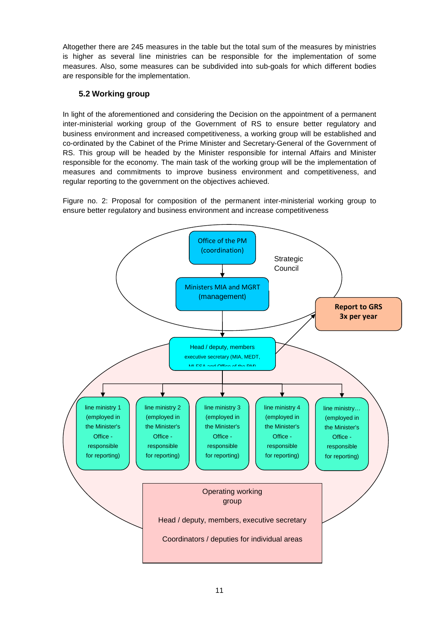Altogether there are 245 measures in the table but the total sum of the measures by ministries is higher as several line ministries can be responsible for the implementation of some measures. Also, some measures can be subdivided into sub-goals for which different bodies are responsible for the implementation.

# **5.2 Working group**

In light of the aforementioned and considering the Decision on the appointment of a permanent inter-ministerial working group of the Government of RS to ensure better regulatory and business environment and increased competitiveness, a working group will be established and co-ordinated by the Cabinet of the Prime Minister and Secretary-General of the Government of RS. This group will be headed by the Minister responsible for internal Affairs and Minister responsible for the economy. The main task of the working group will be the implementation of measures and commitments to improve business environment and competitiveness, and regular reporting to the government on the objectives achieved.

Figure no. 2: Proposal for composition of the permanent inter-ministerial working group to ensure better regulatory and business environment and increase competitiveness

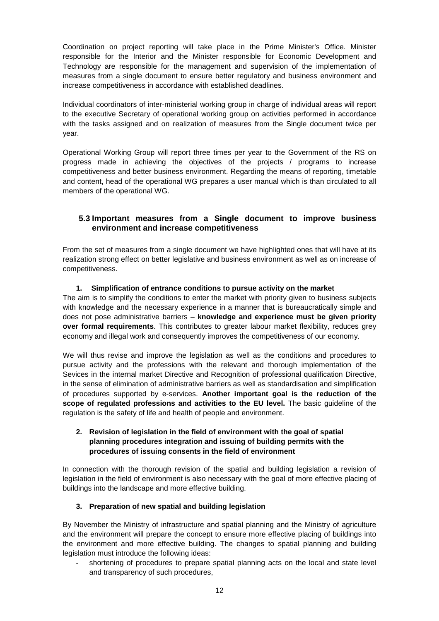Coordination on project reporting will take place in the Prime Minister's Office. Minister responsible for the Interior and the Minister responsible for Economic Development and Technology are responsible for the management and supervision of the implementation of measures from a single document to ensure better regulatory and business environment and increase competitiveness in accordance with established deadlines.

Individual coordinators of inter-ministerial working group in charge of individual areas will report to the executive Secretary of operational working group on activities performed in accordance with the tasks assigned and on realization of measures from the Single document twice per year.

Operational Working Group will report three times per year to the Government of the RS on progress made in achieving the objectives of the projects / programs to increase competitiveness and better business environment. Regarding the means of reporting, timetable and content, head of the operational WG prepares a user manual which is than circulated to all members of the operational WG.

# **5.3 Important measures from a Single document to improve business environment and increase competitiveness**

From the set of measures from a single document we have highlighted ones that will have at its realization strong effect on better legislative and business environment as well as on increase of competitiveness.

## **1. Simplification of entrance conditions to pursue activity on the market**

The aim is to simplify the conditions to enter the market with priority given to business subjects with knowledge and the necessary experience in a manner that is bureaucratically simple and does not pose administrative barriers – **knowledge and experience must be given priority over formal requirements**. This contributes to greater labour market flexibility, reduces grey economy and illegal work and consequently improves the competitiveness of our economy.

We will thus revise and improve the legislation as well as the conditions and procedures to pursue activity and the professions with the relevant and thorough implementation of the Sevices in the internal market Directive and Recognition of professional qualification Directive, in the sense of elimination of administrative barriers as well as standardisation and simplification of procedures supported by e-services. **Another important goal is the reduction of the scope of regulated professions and activities to the EU level.** The basic guideline of the regulation is the safety of life and health of people and environment.

## **2. Revision of legislation in the field of environment with the goal of spatial planning procedures integration and issuing of building permits with the procedures of issuing consents in the field of environment**

In connection with the thorough revision of the spatial and building legislation a revision of legislation in the field of environment is also necessary with the goal of more effective placing of buildings into the landscape and more effective building.

# **3. Preparation of new spatial and building legislation**

By November the Ministry of infrastructure and spatial planning and the Ministry of agriculture and the environment will prepare the concept to ensure more effective placing of buildings into the environment and more effective building. The changes to spatial planning and building legislation must introduce the following ideas:

shortening of procedures to prepare spatial planning acts on the local and state level and transparency of such procedures,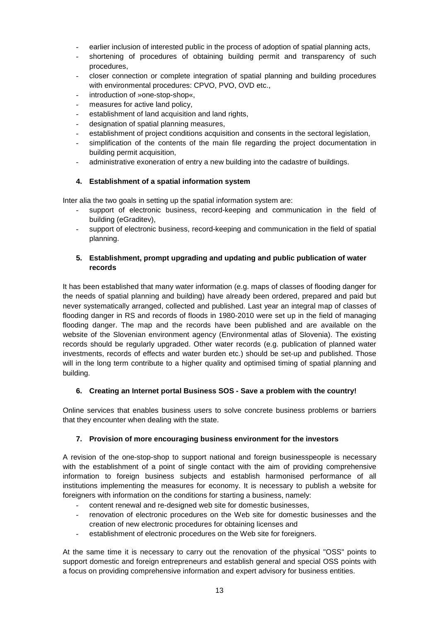- earlier inclusion of interested public in the process of adoption of spatial planning acts,
- shortening of procedures of obtaining building permit and transparency of such procedures,
- closer connection or complete integration of spatial planning and building procedures with environmental procedures: CPVO, PVO, OVD etc.,
- introduction of »one-stop-shop«.
- measures for active land policy,
- establishment of land acquisition and land rights,
- designation of spatial planning measures,
- establishment of project conditions acquisition and consents in the sectoral legislation,
- simplification of the contents of the main file regarding the project documentation in building permit acquisition,
- administrative exoneration of entry a new building into the cadastre of buildings.

## **4. Establishment of a spatial information system**

Inter alia the two goals in setting up the spatial information system are:

- support of electronic business, record-keeping and communication in the field of building (eGraditev),
- support of electronic business, record-keeping and communication in the field of spatial planning.

## **5. Establishment, prompt upgrading and updating and public publication of water records**

It has been established that many water information (e.g. maps of classes of flooding danger for the needs of spatial planning and building) have already been ordered, prepared and paid but never systematically arranged, collected and published. Last year an integral map of classes of flooding danger in RS and records of floods in 1980-2010 were set up in the field of managing flooding danger. The map and the records have been published and are available on the website of the Slovenian environment agency (Environmental atlas of Slovenia). The existing records should be regularly upgraded. Other water records (e.g. publication of planned water investments, records of effects and water burden etc.) should be set-up and published. Those will in the long term contribute to a higher quality and optimised timing of spatial planning and building.

#### **6. Creating an Internet portal Business SOS - Save a problem with the country!**

Online services that enables business users to solve concrete business problems or barriers that they encounter when dealing with the state.

#### **7. Provision of more encouraging business environment for the investors**

A revision of the one-stop-shop to support national and foreign businesspeople is necessary with the establishment of a point of single contact with the aim of providing comprehensive information to foreign business subjects and establish harmonised performance of all institutions implementing the measures for economy. It is necessary to publish a website for foreigners with information on the conditions for starting a business, namely:

- content renewal and re-designed web site for domestic businesses,
- renovation of electronic procedures on the Web site for domestic businesses and the creation of new electronic procedures for obtaining licenses and
- establishment of electronic procedures on the Web site for foreigners.

At the same time it is necessary to carry out the renovation of the physical "OSS" points to support domestic and foreign entrepreneurs and establish general and special OSS points with a focus on providing comprehensive information and expert advisory for business entities.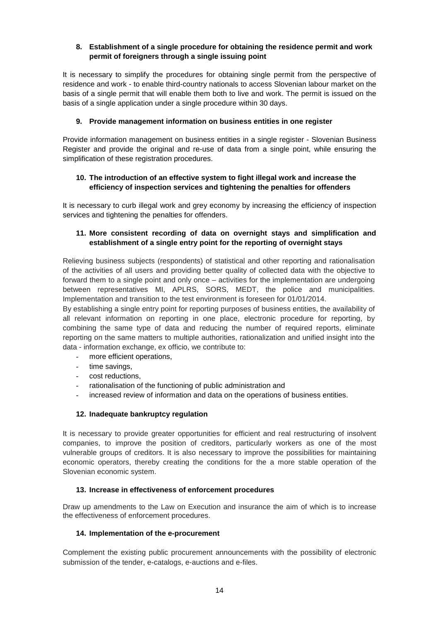### **8. Establishment of a single procedure for obtaining the residence permit and work permit of foreigners through a single issuing point**

It is necessary to simplify the procedures for obtaining single permit from the perspective of residence and work - to enable third-country nationals to access Slovenian labour market on the basis of a single permit that will enable them both to live and work. The permit is issued on the basis of a single application under a single procedure within 30 days.

## **9. Provide management information on business entities in one register**

Provide information management on business entities in a single register - Slovenian Business Register and provide the original and re-use of data from a single point, while ensuring the simplification of these registration procedures.

## **10. The introduction of an effective system to fight illegal work and increase the efficiency of inspection services and tightening the penalties for offenders**

It is necessary to curb illegal work and grey economy by increasing the efficiency of inspection services and tightening the penalties for offenders.

## **11. More consistent recording of data on overnight stays and simplification and establishment of a single entry point for the reporting of overnight stays**

Relieving business subjects (respondents) of statistical and other reporting and rationalisation of the activities of all users and providing better quality of collected data with the objective to forward them to a single point and only once – activities for the implementation are undergoing between representatives MI, APLRS, SORS, MEDT, the police and municipalities. Implementation and transition to the test environment is foreseen for 01/01/2014.

By establishing a single entry point for reporting purposes of business entities, the availability of all relevant information on reporting in one place, electronic procedure for reporting, by combining the same type of data and reducing the number of required reports, eliminate reporting on the same matters to multiple authorities, rationalization and unified insight into the data - information exchange, ex officio, we contribute to:

- more efficient operations,
- time savings,
- cost reductions.
- rationalisation of the functioning of public administration and
- increased review of information and data on the operations of business entities.

#### **12. Inadequate bankruptcy regulation**

It is necessary to provide greater opportunities for efficient and real restructuring of insolvent companies, to improve the position of creditors, particularly workers as one of the most vulnerable groups of creditors. It is also necessary to improve the possibilities for maintaining economic operators, thereby creating the conditions for the a more stable operation of the Slovenian economic system.

#### **13. Increase in effectiveness of enforcement procedures**

Draw up amendments to the Law on Execution and insurance the aim of which is to increase the effectiveness of enforcement procedures.

#### **14. Implementation of the e-procurement**

Complement the existing public procurement announcements with the possibility of electronic submission of the tender, e-catalogs, e-auctions and e-files.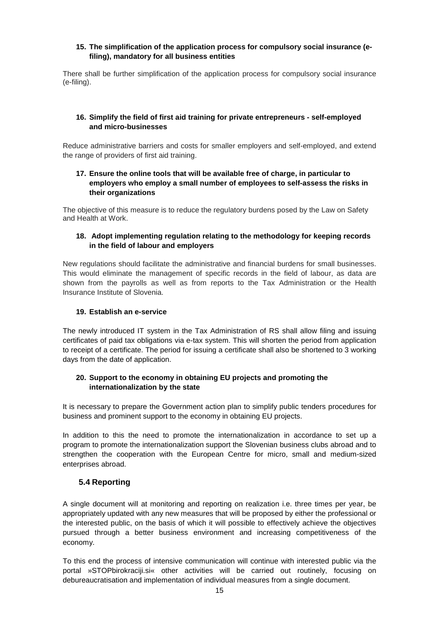### **15. The simplification of the application process for compulsory social insurance (efiling), mandatory for all business entities**

There shall be further simplification of the application process for compulsory social insurance (e-filing).

## **16. Simplify the field of first aid training for private entrepreneurs - self-employed and micro-businesses**

Reduce administrative barriers and costs for smaller employers and self-employed, and extend the range of providers of first aid training.

### **17. Ensure the online tools that will be available free of charge, in particular to employers who employ a small number of employees to self-assess the risks in their organizations**

The objective of this measure is to reduce the regulatory burdens posed by the Law on Safety and Health at Work.

### **18. Adopt implementing regulation relating to the methodology for keeping records in the field of labour and employers**

New regulations should facilitate the administrative and financial burdens for small businesses. This would eliminate the management of specific records in the field of labour, as data are shown from the payrolls as well as from reports to the Tax Administration or the Health Insurance Institute of Slovenia.

#### **19. Establish an e-service**

The newly introduced IT system in the Tax Administration of RS shall allow filing and issuing certificates of paid tax obligations via e-tax system. This will shorten the period from application to receipt of a certificate. The period for issuing a certificate shall also be shortened to 3 working days from the date of application.

## **20. Support to the economy in obtaining EU projects and promoting the internationalization by the state**

It is necessary to prepare the Government action plan to simplify public tenders procedures for business and prominent support to the economy in obtaining EU projects.

In addition to this the need to promote the internationalization in accordance to set up a program to promote the internationalization support the Slovenian business clubs abroad and to strengthen the cooperation with the European Centre for micro, small and medium-sized enterprises abroad.

# **5.4 Reporting**

A single document will at monitoring and reporting on realization i.e. three times per year, be appropriately updated with any new measures that will be proposed by either the professional or the interested public, on the basis of which it will possible to effectively achieve the objectives pursued through a better business environment and increasing competitiveness of the economy.

To this end the process of intensive communication will continue with interested public via the portal »STOPbirokraciji.si« other activities will be carried out routinely, focusing on debureaucratisation and implementation of individual measures from a single document.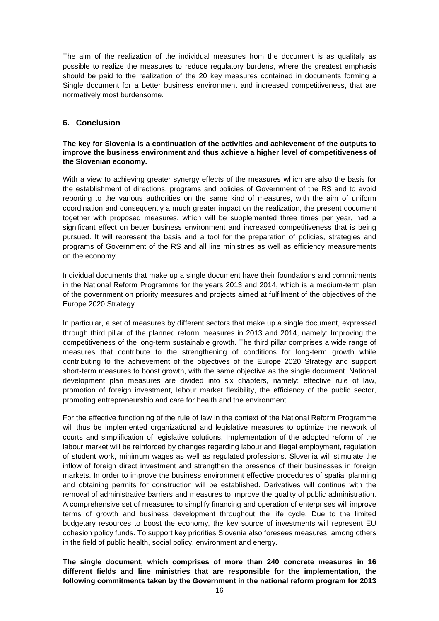The aim of the realization of the individual measures from the document is as qualitaly as possible to realize the measures to reduce regulatory burdens, where the greatest emphasis should be paid to the realization of the 20 key measures contained in documents forming a Single document for a better business environment and increased competitiveness, that are normatively most burdensome.

# **6. Conclusion**

#### **The key for Slovenia is a continuation of the activities and achievement of the outputs to improve the business environment and thus achieve a higher level of competitiveness of the Slovenian economy.**

With a view to achieving greater synergy effects of the measures which are also the basis for the establishment of directions, programs and policies of Government of the RS and to avoid reporting to the various authorities on the same kind of measures, with the aim of uniform coordination and consequently a much greater impact on the realization, the present document together with proposed measures, which will be supplemented three times per year, had a significant effect on better business environment and increased competitiveness that is being pursued. It will represent the basis and a tool for the preparation of policies, strategies and programs of Government of the RS and all line ministries as well as efficiency measurements on the economy.

Individual documents that make up a single document have their foundations and commitments in the National Reform Programme for the years 2013 and 2014, which is a medium-term plan of the government on priority measures and projects aimed at fulfilment of the objectives of the Europe 2020 Strategy.

In particular, a set of measures by different sectors that make up a single document, expressed through third pillar of the planned reform measures in 2013 and 2014, namely: Improving the competitiveness of the long-term sustainable growth. The third pillar comprises a wide range of measures that contribute to the strengthening of conditions for long-term growth while contributing to the achievement of the objectives of the Europe 2020 Strategy and support short-term measures to boost growth, with the same objective as the single document. National development plan measures are divided into six chapters, namely: effective rule of law, promotion of foreign investment, labour market flexibility, the efficiency of the public sector, promoting entrepreneurship and care for health and the environment.

For the effective functioning of the rule of law in the context of the National Reform Programme will thus be implemented organizational and legislative measures to optimize the network of courts and simplification of legislative solutions. Implementation of the adopted reform of the labour market will be reinforced by changes regarding labour and illegal employment, regulation of student work, minimum wages as well as regulated professions. Slovenia will stimulate the inflow of foreign direct investment and strengthen the presence of their businesses in foreign markets. In order to improve the business environment effective procedures of spatial planning and obtaining permits for construction will be established. Derivatives will continue with the removal of administrative barriers and measures to improve the quality of public administration. A comprehensive set of measures to simplify financing and operation of enterprises will improve terms of growth and business development throughout the life cycle. Due to the limited budgetary resources to boost the economy, the key source of investments will represent EU cohesion policy funds. To support key priorities Slovenia also foresees measures, among others in the field of public health, social policy, environment and energy.

**The single document, which comprises of more than 240 concrete measures in 16 different fields and line ministries that are responsible for the implementation, the following commitments taken by the Government in the national reform program for 2013**